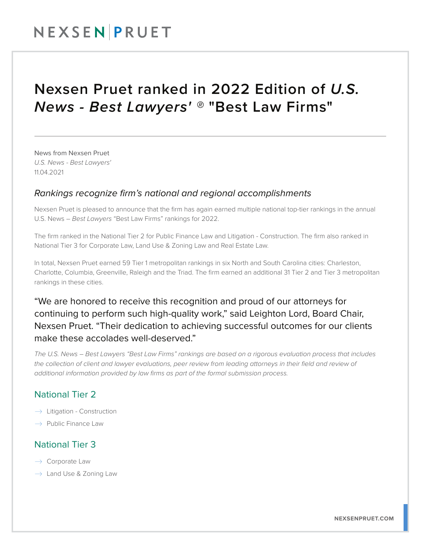## Nexsen Pruet ranked in 2022 Edition of *U.S. News - Best Lawyers' ®* "Best Law Firms"

News from Nexsen Pruet *U.S. News - Best Lawyers'* 11.04.2021

### *Rankings recognize firm's national and regional accomplishments*

Nexsen Pruet is pleased to announce that the firm has again earned multiple national top-tier rankings in the annual U.S. News – *Best Lawyers* "Best Law Firms" rankings for 2022.

The firm ranked in the National Tier 2 for Public Finance Law and Litigation - Construction. The firm also ranked in National Tier 3 for Corporate Law, Land Use & Zoning Law and Real Estate Law.

In total, Nexsen Pruet earned 59 Tier 1 metropolitan rankings in six North and South Carolina cities: Charleston, Charlotte, Columbia, Greenville, Raleigh and the Triad. The firm earned an additional 31 Tier 2 and Tier 3 metropolitan rankings in these cities.

## "We are honored to receive this recognition and proud of our attorneys for continuing to perform such high-quality work," said Leighton Lord, Board Chair, Nexsen Pruet. "Their dedication to achieving successful outcomes for our clients make these accolades well-deserved."

*The U.S. News – Best Lawyers "Best Law Firms" rankings are based on a rigorous evaluation process that includes the collection of client and lawyer evaluations, peer review from leading attorneys in their field and review of additional information provided by law firms as part of the formal submission process.* 

### National Tier 2

- $\rightarrow$  Litigation Construction
- $\rightarrow$  Public Finance Law

### National Tier 3

- $\rightarrow$  Corporate Law
- $\rightarrow$  Land Use & Zoning Law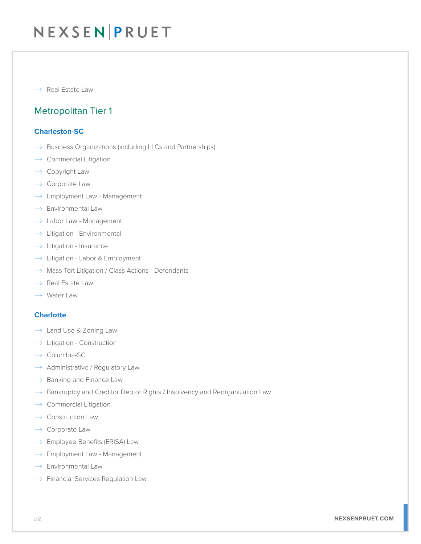$\rightarrow$  Real Estate Law

### Metropolitan Tier 1

#### **Charleston-SC**

- $\rightarrow$  Business Organizations (including LLCs and Partnerships)
- $\rightarrow$  Commercial Litigation
- $\rightarrow$  Copyright Law
- $\rightarrow$  Corporate Law
- $\rightarrow$  Employment Law Management
- $\rightarrow$  Environmental Law
- $\rightarrow$  Labor Law Management
- $\rightarrow$  Litigation Environmental
- $\rightarrow$  Litigation Insurance
- $\rightarrow$  Litigation Labor & Employment
- $\rightarrow$  Mass Tort Litigation / Class Actions Defendants
- $\rightarrow$  Real Estate Law
- $\rightarrow$  Water Law

#### **Charlotte**

- $\rightarrow$  Land Use & Zoning Law
- $\rightarrow$  Litigation Construction
- $\rightarrow$  Columbia-SC
- $\rightarrow$  Administrative / Regulatory Law
- $\rightarrow$  Banking and Finance Law
- $\rightarrow$  Bankruptcy and Creditor Debtor Rights / Insolvency and Reorganization Law
- $\rightarrow$  Commercial Litigation
- $\rightarrow$  Construction Law
- $\rightarrow$  Corporate Law
- $\rightarrow$  Employee Benefits (ERISA) Law
- $\rightarrow$  Employment Law Management
- $\rightarrow$  Environmental Law
- $\rightarrow$  Financial Services Regulation Law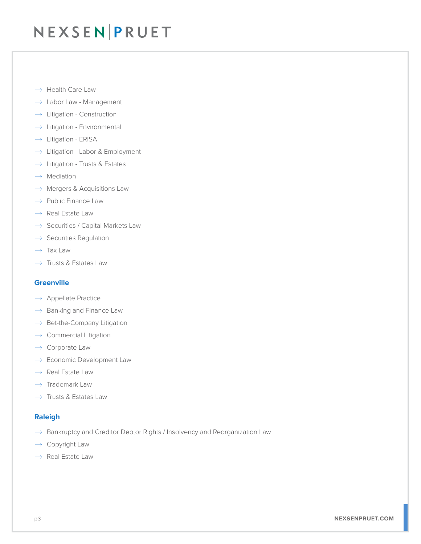- $\rightarrow$  Health Care Law
- $\rightarrow$  Labor Law Management
- $\rightarrow$  Litigation Construction
- $\rightarrow$  Litigation Environmental
- $\rightarrow$  Litigation ERISA
- $\rightarrow$  Litigation Labor & Employment
- $\rightarrow$  Litigation Trusts & Estates
- $\rightarrow$  Mediation
- $\rightarrow$  Mergers & Acquisitions Law
- $\rightarrow$  Public Finance Law
- $\rightarrow$  Real Estate Law
- $\rightarrow$  Securities / Capital Markets Law
- $\rightarrow$  Securities Regulation
- $\rightarrow$  Tax Law
- $\rightarrow$  Trusts & Estates Law

#### **Greenville**

- $\rightarrow$  Appellate Practice
- $\rightarrow$  Banking and Finance Law
- $\rightarrow$  Bet-the-Company Litigation
- $\rightarrow$  Commercial Litigation
- $\rightarrow$  Corporate Law
- $\rightarrow$  Economic Development Law
- $\rightarrow$  Real Estate Law
- $\rightarrow$  Trademark Law
- $\rightarrow$  Trusts & Estates Law

#### **Raleigh**

- $\rightarrow$  Bankruptcy and Creditor Debtor Rights / Insolvency and Reorganization Law
- $\rightarrow$  Copyright Law
- $\rightarrow$  Real Estate Law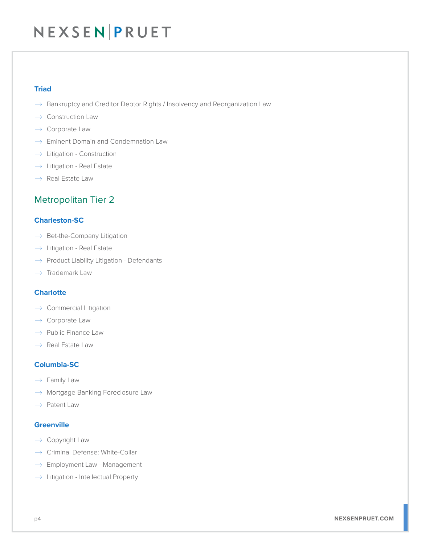#### **Triad**

- $\rightarrow$  Bankruptcy and Creditor Debtor Rights / Insolvency and Reorganization Law
- $\rightarrow$  Construction Law
- $\rightarrow$  Corporate Law
- $\rightarrow$  Eminent Domain and Condemnation Law
- $\rightarrow$  Litigation Construction
- $\rightarrow$  Litigation Real Estate
- $\rightarrow$  Real Estate Law

### Metropolitan Tier 2

#### **Charleston-SC**

- $\rightarrow$  Bet-the-Company Litigation
- $\rightarrow$  Litigation Real Estate
- $\rightarrow$  Product Liability Litigation Defendants
- $\rightarrow$  Trademark Law

#### **Charlotte**

- $\rightarrow$  Commercial Litigation
- $\rightarrow$  Corporate Law
- $\rightarrow$  Public Finance Law
- $\rightarrow$  Real Estate Law

#### **Columbia-SC**

- $\rightarrow$  Family Law
- $\rightarrow$  Mortgage Banking Foreclosure Law
- $\rightarrow$  Patent Law

#### **Greenville**

- $\rightarrow$  Copyright Law
- $\rightarrow$  Criminal Defense: White-Collar
- $\rightarrow$  Employment Law Management
- $\rightarrow$  Litigation Intellectual Property